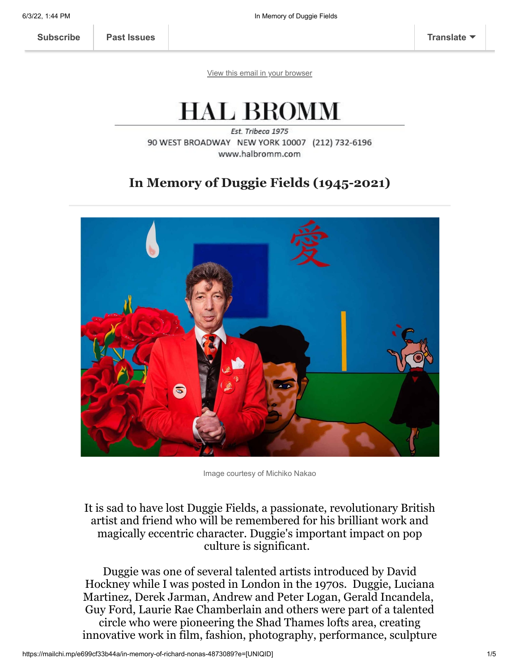[View this email in your browser](https://mailchi.mp/e699cf33b44a/in-memory-of-richard-nonas-4873089?e=[UNIQID])

## **HAL BROMM**

Est. Tribeca 1975 90 WEST BROADWAY NEW YORK 10007 (212) 732-6196 www.halbromm.com

### **In Memory of Duggie Fields (1945-2021)**



Image courtesy of Michiko Nakao

### It is sad to have lost Duggie Fields, a passionate, revolutionary British artist and friend who will be remembered for his brilliant work and magically eccentric character. Duggie's important impact on pop culture is significant.

Duggie was one of several talented artists introduced by David Hockney while I was posted in London in the 1970s. Duggie, Luciana Martinez, Derek Jarman, Andrew and Peter Logan, Gerald Incandela, Guy Ford, Laurie Rae Chamberlain and others were part of a talented circle who were pioneering the Shad Thames lofts area, creating innovative work in film, fashion, photography, performance, sculpture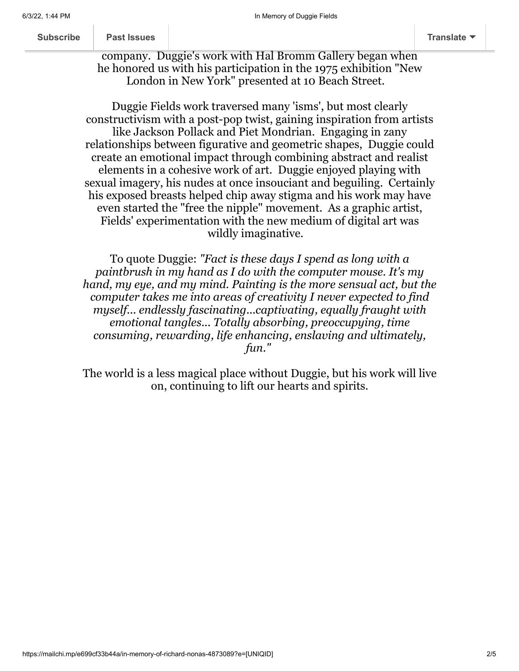| Subscribe |  |  |  |
|-----------|--|--|--|
|           |  |  |  |
|           |  |  |  |

 $\frac{1}{\sqrt{2}}$ h[appening in low](https://us11.campaign-archive.com/home/?u=01457ce935317ad1d5b4d7b39&id=f7d2f74d1d)er Manhattan, and I felt completely at home in the intervals of the intervals of the intervals of the intervals of the intervals of the intervals of the intervals of the intervals of the intervals of the in

company. Duggie's work with Hal Bromm Gallery began when he honored us with his participation in the 1975 exhibition "New London in New York" presented at 10 Beach Street.

Duggie Fields work traversed many 'isms', but most clearly constructivism with a post-pop twist, gaining inspiration from artists like Jackson Pollack and Piet Mondrian. Engaging in zany relationships between figurative and geometric shapes, Duggie could create an emotional impact through combining abstract and realist elements in a cohesive work of art. Duggie enjoyed playing with sexual imagery, his nudes at once insouciant and beguiling. Certainly his exposed breasts helped chip away stigma and his work may have even started the "free the nipple" movement. As a graphic artist, Fields' experimentation with the new medium of digital art was wildly imaginative.

To quote Duggie: *"Fact is these days I spend as long with a paintbrush in my hand as I do with the computer mouse. It's my hand, my eye, and my mind. Painting is the more sensual act, but the computer takes me into areas of creativity I never expected to find myself... endlessly fascinating...captivating, equally fraught with emotional tangles... Totally absorbing, preoccupying, time consuming, rewarding, life enhancing, enslaving and ultimately, fun."*

The world is a less magical place without Duggie, but his work will live on, continuing to lift our hearts and spirits.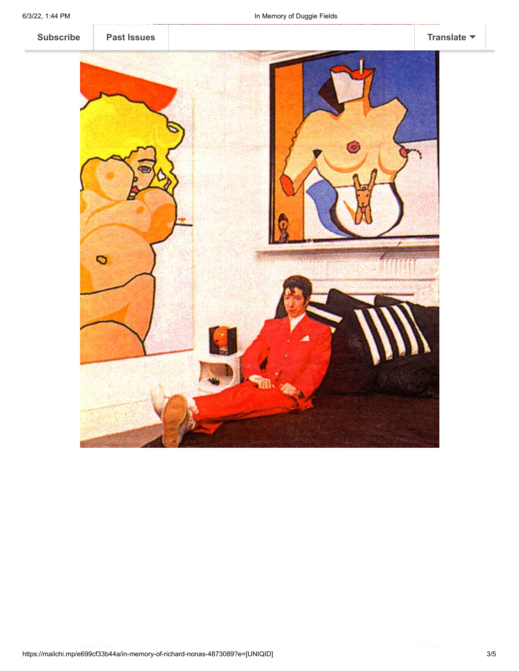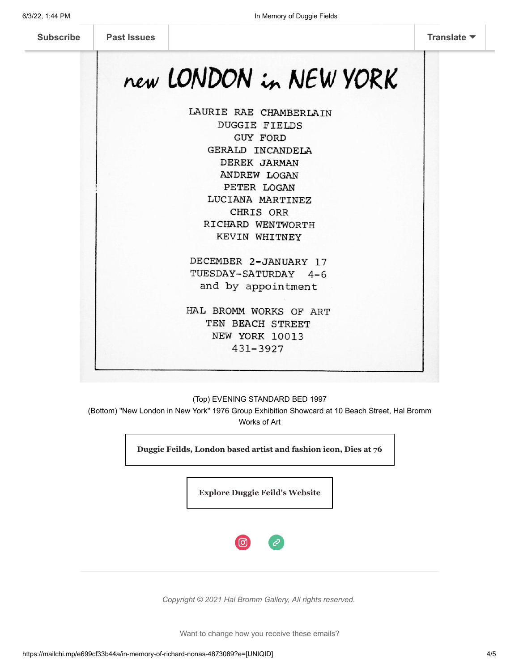# new LONDON in NEW YORK

LAURIE RAE CHAMBERLAIN **DUGGIE FIELDS GUY FORD** GERALD INCANDELA DEREK JARMAN ANDREW LOGAN PETER LOGAN LUCIANA MARTINEZ CHRIS ORR RICHARD WENTWORTH KEVIN WHITNEY

DECEMBER 2-JANUARY 17 TUESDAY-SATURDAY 4-6 and by appointment

HAL BROMM WORKS OF ART TEN BEACH STREET NEW YORK 10013 431-3927

#### (Top) EVENING STANDARD BED 1997

(Bottom) "New London in New York" 1976 Group Exhibition Showcard at 10 Beach Street, Hal Bromm Works of Art

**[Duggie Feilds, London based artist and fashion icon, Dies at 76](https://www.thefocus.news/culture/duggie-fields-death/)**

**[Explore Duggie Feild's Website](http://www.duggiefields.com/index.htm)**



*Copyright © 2021 Hal Bromm Gallery, All rights reserved.*

Want to change how you receive these emails?